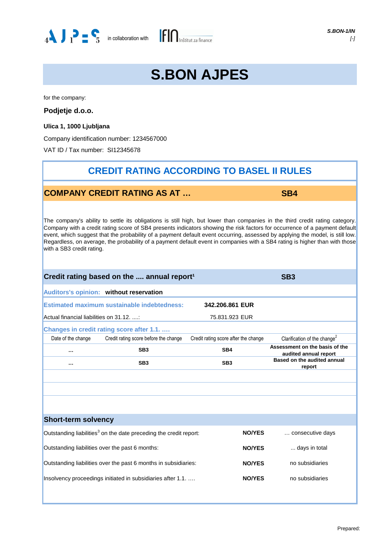

# **S.BON AJPES**

for the company:

**Podjetje d.o.o.**

**Ulica 1, 1000 Ljubljana**

Company identification number: 1234567000

VAT ID / Tax number: SI12345678

## **CREDIT RATING ACCORDING TO BASEL II RULES**

### **COMPANY CREDIT RATING AS AT …**

**SB4**

The company's ability to settle its obligations is still high, but lower than companies in the third credit rating category. Company with a credit rating score of SB4 presents indicators showing the risk factors for occurrence of a payment default event, which suggest that the probability of a payment default event occurring, assessed by applying the model, is still low. Regardless, on average, the probability of a payment default event in companies with a SB4 rating is higher than with those with a SB3 credit rating.

| Credit rating based on the  annual report <sup>1</sup>                           | SB <sub>3</sub>                                                               |                                      |                                                         |  |  |  |  |
|----------------------------------------------------------------------------------|-------------------------------------------------------------------------------|--------------------------------------|---------------------------------------------------------|--|--|--|--|
|                                                                                  | Auditors's opinion: without reservation                                       |                                      |                                                         |  |  |  |  |
| <b>Estimated maximum sustainable indebtedness:</b><br>342.206.861 EUR            |                                                                               |                                      |                                                         |  |  |  |  |
| Actual financial liabilities on 31.12.                                           |                                                                               | 75.831.923 EUR                       |                                                         |  |  |  |  |
|                                                                                  | Changes in credit rating score after 1.1.                                     |                                      |                                                         |  |  |  |  |
| Date of the change                                                               | Credit rating score before the change                                         | Credit rating score after the change | Clarification of the change <sup>2</sup>                |  |  |  |  |
|                                                                                  | SB <sub>3</sub>                                                               | SB <sub>4</sub>                      | Assessment on the basis of the<br>audited annual report |  |  |  |  |
| SB <sub>3</sub><br>$\cdots$                                                      |                                                                               | SB <sub>3</sub>                      | Based on the audited annual<br>report                   |  |  |  |  |
|                                                                                  |                                                                               |                                      |                                                         |  |  |  |  |
|                                                                                  |                                                                               |                                      |                                                         |  |  |  |  |
|                                                                                  |                                                                               |                                      |                                                         |  |  |  |  |
|                                                                                  |                                                                               |                                      |                                                         |  |  |  |  |
| <b>Short-term solvency</b>                                                       |                                                                               |                                      |                                                         |  |  |  |  |
|                                                                                  | Outstanding liabilities <sup>3</sup> on the date preceding the credit report: | <b>NO/YES</b>                        | consecutive days                                        |  |  |  |  |
| Outstanding liabilities over the past 6 months:                                  |                                                                               | <b>NO/YES</b>                        | days in total                                           |  |  |  |  |
| Outstanding liabilities over the past 6 months in subsidiaries:<br><b>NO/YES</b> |                                                                               |                                      | no subsidiaries                                         |  |  |  |  |
|                                                                                  | Insolvency proceedings initiated in subsidiaries after 1.1.                   | <b>NO/YES</b>                        | no subsidiaries                                         |  |  |  |  |
|                                                                                  |                                                                               |                                      |                                                         |  |  |  |  |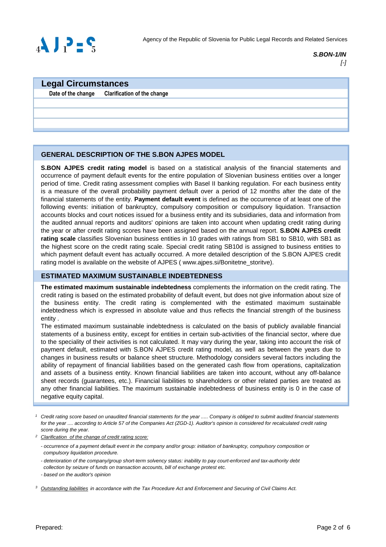

### **S.BON-1/IN** [-]

### **Legal Circumstances**

**Date of the change Clarification of the change**

### **GENERAL DESCRIPTION OF THE S.BON AJPES MODEL**

**S.BON AJPES credit rating model** is based on a statistical analysis of the financial statements and occurrence of payment default events for the entire population of Slovenian business entities over a longer period of time. Credit rating assessment complies with Basel II banking regulation. For each business entity is a measure of the overall probability payment default over a period of 12 months after the date of the financial statements of the entity. **Payment default event** is defined as the occurrence of at least one of the following events: initiation of bankruptcy, compulsory composition or compulsory liquidation. Transaction accounts blocks and court notices issued for a business entity and its subsidiaries, data and information from the audited annual reports and auditors' opinions are taken into account when updating credit rating during the year or after credit rating scores have been assigned based on the annual report. **S.BON AJPES credit rating scale** classifies Slovenian business entities in 10 grades with ratings from SB1 to SB10, with SB1 as the highest score on the credit rating scale. Special credit rating SB10d is assigned to business entities to which payment default event has actually occurred. A more detailed description of the S.BON AJPES credit rating model is available on the website of AJPES (www.ajpes.si/Bonitetne storitve).

### **ESTIMATED MAXIMUM SUSTAINABLE INDEBTEDNESS**

**The estimated maximum sustainable indebtedness** complements the information on the credit rating. The credit rating is based on the estimated probability of default event, but does not give information about size of the business entity. The credit rating is complemented with the estimated maximum sustainable indebtedness which is expressed in absolute value and thus reflects the financial strength of the business entity .

The estimated maximum sustainable indebtedness is calculated on the basis of publicly available financial statements of a business entity, except for entities in certain sub-activities of the financial sector, where due to the speciality of their activities is not calculated. It may vary during the year, taking into account the risk of payment default, estimated with S.BON AJPES credit rating model, as well as between the years due to changes in business results or balance sheet structure. Methodology considers several factors including the ability of repayment of financial liabilities based on the generated cash flow from operations, capitalization and assets of a business entity. Known financial liabilities are taken into account, without any off-balance sheet records (guarantees, etc.). Financial liabilities to shareholders or other related parties are treated as any other financial liabilities. The maximum sustainable indebtedness of business entity is 0 in the case of negative equity capital.

<sup>&</sup>lt;sup>1</sup> Credit rating score based on unaudited financial statements for the year ..... Company is obliged to submit audited financial statements for the year .... according to Article 57 of the Companies Act (ZGD-1). Auditor's opinion is considered for recalculated credit rating score during the year.

<sup>2</sup> Clarification of the change of credit rating score:

<sup>-</sup> occurrence of a payment default event in the company and/or group: initiation of bankruptcy, compulsory composition or compulsory liquidation procedure.

<sup>-</sup> deterioration of the company/group short-term solvency status: inability to pay court-enforced and tax-authority debt collection by seizure of funds on transaction accounts, bill of exchange protest etc.

<sup>-</sup> based on the auditor's opinion

<sup>&</sup>lt;sup>3</sup> Outstanding liabilities in accordance with the Tax Procedure Act and Enforcement and Securing of Civil Claims Act.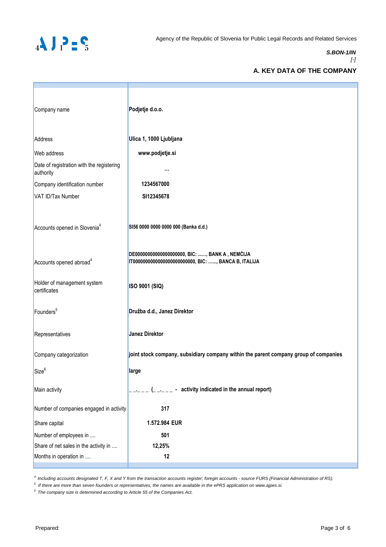

#### **S.BON-1/IN**  $[-]$

### **A. KEY DATA OF THE COMPANY**

| Company name                                           | Podjetje d.o.o.                                                                                         |
|--------------------------------------------------------|---------------------------------------------------------------------------------------------------------|
| Address                                                | Ulica 1, 1000 Ljubljana                                                                                 |
| Web address                                            | www.podjetje.si                                                                                         |
| Date of registration with the registering<br>authority |                                                                                                         |
| Company identification number                          | 1234567000                                                                                              |
| VAT ID/Tax Number                                      | SI12345678                                                                                              |
| Accounts opened in Slovenia <sup>4</sup>               | SI56 0000 0000 0000 000 (Banka d.d.)                                                                    |
| Accounts opened abroad <sup>4</sup>                    | DE00000000000000000000, BIC: , BANK A, NEMČIJA<br>IT00000000000000000000000000, BIC: , BANCA B, ITALIJA |
| Holder of management system<br>certificates            | ISO 9001 (SIQ)                                                                                          |
| Founders <sup>5</sup>                                  | Družba d.d., Janez Direktor                                                                             |
| Representatives                                        | <b>Janez Direktor</b>                                                                                   |
| Company categorization                                 | joint stock company, subsidiary company within the parent company group of companies                    |
| Size <sup>6</sup>                                      | large                                                                                                   |
| Main activity                                          | - activity indicated in the annual report)                                                              |
| Number of companies engaged in activity                | 317                                                                                                     |
| Share capital                                          | 1.572.984 EUR                                                                                           |
| Number of employees in                                 | 501                                                                                                     |
| Share of net sales in the activity in                  | 12,25%                                                                                                  |
| Months in operation in                                 | 12                                                                                                      |

4 Including accounts designated T, F, X and Y from the transaction accounts register; foregin accounts - source FURS (Financial Administration of RS).

<sup>5</sup>If there are more than seven founders or representatives, the names are available in the ePRS application on www.ajpes.si.

 $6$  The company size is determined according to Article 55 of the Companies Act.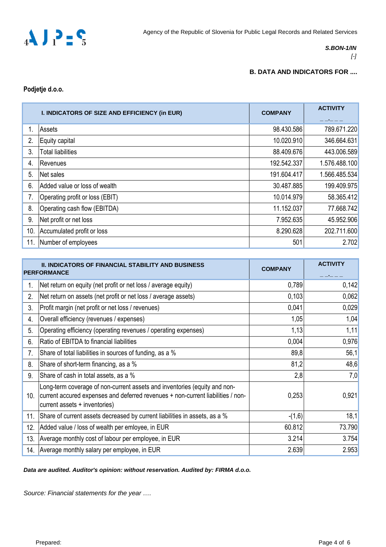

### **S.BON-1/IN**

### [-]

### **B. DATA AND INDICATORS FOR ....**

**Podjetje d.o.o.**

| I. INDICATORS OF SIZE AND EFFICIENCY (in EUR) |                                 | <b>COMPANY</b> | <b>ACTIVITY</b> |  |
|-----------------------------------------------|---------------------------------|----------------|-----------------|--|
|                                               | Assets                          | 98.430.586     | 789.671.220     |  |
| 2.                                            | Equity capital                  | 10.020.910     | 346.664.631     |  |
| 3.                                            | <b>Total liabilities</b>        | 88.409.676     | 443.006.589     |  |
| 4.                                            | Revenues                        | 192.542.337    | 1.576.488.100   |  |
| 5.                                            | Net sales                       | 191.604.417    | 1.566.485.534   |  |
| 6.                                            | Added value or loss of wealth   | 30.487.885     | 199.409.975     |  |
| 7.                                            | Operating profit or loss (EBIT) | 10.014.979     | 58.365.412      |  |
| 8.                                            | Operating cash flow (EBITDA)    | 11.152.037     | 77.668.742      |  |
| 9.                                            | Net profit or net loss          | 7.952.635      | 45.952.906      |  |
| 10.                                           | Accumulated profit or loss      | 8.290.628      | 202.711.600     |  |
| 11.                                           | Number of employees             | 501            | 2.702           |  |

|     | II. INDICATORS OF FINANCIAL STABILITY AND BUSINESS<br><b>PERFORMANCE</b>                                                                                                                      | <b>COMPANY</b> | <b>ACTIVITY</b> |
|-----|-----------------------------------------------------------------------------------------------------------------------------------------------------------------------------------------------|----------------|-----------------|
| 1.  | Net return on equity (net profit or net loss / average equity)                                                                                                                                | 0,789          | 0,142           |
| 2.  | Net return on assets (net profit or net loss / average assets)                                                                                                                                | 0,103          | 0,062           |
| 3.  | Profit margin (net profit or net loss / revenues)                                                                                                                                             | 0,041          | 0,029           |
| 4.  | Overall efficiency (revenues / expenses)                                                                                                                                                      | 1,05           | 1,04            |
| 5.  | Operating efficiency (operating revenues / operating expenses)                                                                                                                                | 1,13           | 1,11            |
| 6.  | Ratio of EBITDA to financial liabilities                                                                                                                                                      | 0,004          | 0,976           |
| 7.  | Share of total liabilities in sources of funding, as a %                                                                                                                                      | 89,8           | 56,1            |
| 8.  | Share of short-term financing, as a %                                                                                                                                                         | 81,2           | 48,6            |
| 9.  | Share of cash in total assets, as a %                                                                                                                                                         | 2,8            | 7,0             |
| 10. | Long-term coverage of non-current assets and inventories (equity and non-<br>current accured expenses and deferred revenues + non-current liabilities / non-<br>current assets + inventories) | 0,253          | 0,921           |
| 11. | Share of current assets decreased by current liabilities in assets, as a %                                                                                                                    | $-(1,6)$       | 18,1            |
| 12. | Added value / loss of wealth per emloyee, in EUR                                                                                                                                              | 60.812         | 73.790          |
| 13. | Average monthly cost of labour per employee, in EUR                                                                                                                                           | 3.214          | 3.754           |
| 14. | Average monthly salary per employee, in EUR                                                                                                                                                   | 2.639          | 2.953           |

### **Data are audited. Auditor's opinion: without reservation. Audited by: FIRMA d.o.o.**

Source: Financial statements for the year ….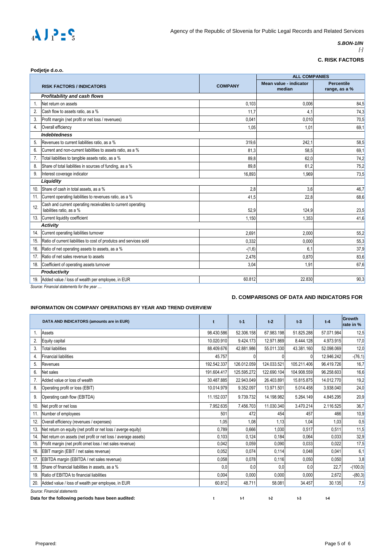

### **S.BON-1/IN**

 $\left[ \cdot \right]$ 

### **C. RISK FACTORS**

| <b>ALL COMPANIES</b><br><b>Percentile</b><br>Mean value - indicator<br><b>COMPANY</b><br><b>RISK FACTORS / INDICATORS</b><br>median<br>range, as a %<br>Profitability and cash flows<br>Net return on assets<br>0,103<br>0.006<br>84,5<br>1.<br>2.<br>Cash flow to assets ratio, as a %<br>11.7<br>74,3<br>4,1<br>3.<br>Profit margin (net profit or net loss / revenues)<br>0.041<br>0.010<br>70,5<br>Overall efficiency<br>69,1<br>4.<br>1.05<br>1.01<br><b>Indebtedness</b><br>Revenues to current liabilities ratio, as a %<br>58,5<br>5.<br>319,6<br>242,1<br>Current and non-current liabilities to assets ratio, as a %<br>6.<br>81.3<br>58,5<br>69,1<br>74,2<br>7.<br>Total liabilities to tangible assets ratio, as a %<br>89.8<br>62,0<br>Share of total liabilities in sources of funding, as a %<br>8.<br>89.8<br>61.2<br>75,2<br>9.<br>Interest coverage indicator<br>16.893<br>1.969<br>73,5<br>Liquidity<br>Share of cash in total assets, as a %<br>46,7<br>10.<br>2.8<br>3,6<br>Current operating liabilities to revenues ratio, as a %<br>11.<br>41,5<br>22,8<br>68,6<br>Cash and current operating receivables to current operating<br>12.<br>liabilities ratio, as a %<br>52,9<br>124,9<br>23,5<br>Current liquidity coefficient<br>41.6<br>13.<br>1.150<br>1,353<br><b>Activity</b><br>Current operating liabilities turnover<br>2.691<br>55,2<br>14.<br>2.000<br>Ratio of current liabilities to cost of produtcs and services sold<br>0,332<br>55,3<br>0,000<br>15.<br>Ratio of net operating assets to assets, as a %<br>6.1<br>37,9<br>16.<br>$-(1,6)$<br>Ratio of net sales revenue to assets<br>2,476<br>0,870<br>83,6<br>17.<br>18.<br>Coefficient of operating assets turnover<br>67,6<br>3.04<br>1,91<br>Productivity<br>90,3<br>60.812<br>22.830<br>19. Added value / loss of wealth per employee, in EUR |  | Podjetje d.o.o. |  |  |  |  |
|------------------------------------------------------------------------------------------------------------------------------------------------------------------------------------------------------------------------------------------------------------------------------------------------------------------------------------------------------------------------------------------------------------------------------------------------------------------------------------------------------------------------------------------------------------------------------------------------------------------------------------------------------------------------------------------------------------------------------------------------------------------------------------------------------------------------------------------------------------------------------------------------------------------------------------------------------------------------------------------------------------------------------------------------------------------------------------------------------------------------------------------------------------------------------------------------------------------------------------------------------------------------------------------------------------------------------------------------------------------------------------------------------------------------------------------------------------------------------------------------------------------------------------------------------------------------------------------------------------------------------------------------------------------------------------------------------------------------------------------------------------------------------------------------------------------------------------------|--|-----------------|--|--|--|--|
|                                                                                                                                                                                                                                                                                                                                                                                                                                                                                                                                                                                                                                                                                                                                                                                                                                                                                                                                                                                                                                                                                                                                                                                                                                                                                                                                                                                                                                                                                                                                                                                                                                                                                                                                                                                                                                          |  |                 |  |  |  |  |
|                                                                                                                                                                                                                                                                                                                                                                                                                                                                                                                                                                                                                                                                                                                                                                                                                                                                                                                                                                                                                                                                                                                                                                                                                                                                                                                                                                                                                                                                                                                                                                                                                                                                                                                                                                                                                                          |  |                 |  |  |  |  |
|                                                                                                                                                                                                                                                                                                                                                                                                                                                                                                                                                                                                                                                                                                                                                                                                                                                                                                                                                                                                                                                                                                                                                                                                                                                                                                                                                                                                                                                                                                                                                                                                                                                                                                                                                                                                                                          |  |                 |  |  |  |  |
|                                                                                                                                                                                                                                                                                                                                                                                                                                                                                                                                                                                                                                                                                                                                                                                                                                                                                                                                                                                                                                                                                                                                                                                                                                                                                                                                                                                                                                                                                                                                                                                                                                                                                                                                                                                                                                          |  |                 |  |  |  |  |
|                                                                                                                                                                                                                                                                                                                                                                                                                                                                                                                                                                                                                                                                                                                                                                                                                                                                                                                                                                                                                                                                                                                                                                                                                                                                                                                                                                                                                                                                                                                                                                                                                                                                                                                                                                                                                                          |  |                 |  |  |  |  |
|                                                                                                                                                                                                                                                                                                                                                                                                                                                                                                                                                                                                                                                                                                                                                                                                                                                                                                                                                                                                                                                                                                                                                                                                                                                                                                                                                                                                                                                                                                                                                                                                                                                                                                                                                                                                                                          |  |                 |  |  |  |  |
|                                                                                                                                                                                                                                                                                                                                                                                                                                                                                                                                                                                                                                                                                                                                                                                                                                                                                                                                                                                                                                                                                                                                                                                                                                                                                                                                                                                                                                                                                                                                                                                                                                                                                                                                                                                                                                          |  |                 |  |  |  |  |
|                                                                                                                                                                                                                                                                                                                                                                                                                                                                                                                                                                                                                                                                                                                                                                                                                                                                                                                                                                                                                                                                                                                                                                                                                                                                                                                                                                                                                                                                                                                                                                                                                                                                                                                                                                                                                                          |  |                 |  |  |  |  |
|                                                                                                                                                                                                                                                                                                                                                                                                                                                                                                                                                                                                                                                                                                                                                                                                                                                                                                                                                                                                                                                                                                                                                                                                                                                                                                                                                                                                                                                                                                                                                                                                                                                                                                                                                                                                                                          |  |                 |  |  |  |  |
|                                                                                                                                                                                                                                                                                                                                                                                                                                                                                                                                                                                                                                                                                                                                                                                                                                                                                                                                                                                                                                                                                                                                                                                                                                                                                                                                                                                                                                                                                                                                                                                                                                                                                                                                                                                                                                          |  |                 |  |  |  |  |
|                                                                                                                                                                                                                                                                                                                                                                                                                                                                                                                                                                                                                                                                                                                                                                                                                                                                                                                                                                                                                                                                                                                                                                                                                                                                                                                                                                                                                                                                                                                                                                                                                                                                                                                                                                                                                                          |  |                 |  |  |  |  |
|                                                                                                                                                                                                                                                                                                                                                                                                                                                                                                                                                                                                                                                                                                                                                                                                                                                                                                                                                                                                                                                                                                                                                                                                                                                                                                                                                                                                                                                                                                                                                                                                                                                                                                                                                                                                                                          |  |                 |  |  |  |  |
|                                                                                                                                                                                                                                                                                                                                                                                                                                                                                                                                                                                                                                                                                                                                                                                                                                                                                                                                                                                                                                                                                                                                                                                                                                                                                                                                                                                                                                                                                                                                                                                                                                                                                                                                                                                                                                          |  |                 |  |  |  |  |
|                                                                                                                                                                                                                                                                                                                                                                                                                                                                                                                                                                                                                                                                                                                                                                                                                                                                                                                                                                                                                                                                                                                                                                                                                                                                                                                                                                                                                                                                                                                                                                                                                                                                                                                                                                                                                                          |  |                 |  |  |  |  |
|                                                                                                                                                                                                                                                                                                                                                                                                                                                                                                                                                                                                                                                                                                                                                                                                                                                                                                                                                                                                                                                                                                                                                                                                                                                                                                                                                                                                                                                                                                                                                                                                                                                                                                                                                                                                                                          |  |                 |  |  |  |  |
|                                                                                                                                                                                                                                                                                                                                                                                                                                                                                                                                                                                                                                                                                                                                                                                                                                                                                                                                                                                                                                                                                                                                                                                                                                                                                                                                                                                                                                                                                                                                                                                                                                                                                                                                                                                                                                          |  |                 |  |  |  |  |
|                                                                                                                                                                                                                                                                                                                                                                                                                                                                                                                                                                                                                                                                                                                                                                                                                                                                                                                                                                                                                                                                                                                                                                                                                                                                                                                                                                                                                                                                                                                                                                                                                                                                                                                                                                                                                                          |  |                 |  |  |  |  |
|                                                                                                                                                                                                                                                                                                                                                                                                                                                                                                                                                                                                                                                                                                                                                                                                                                                                                                                                                                                                                                                                                                                                                                                                                                                                                                                                                                                                                                                                                                                                                                                                                                                                                                                                                                                                                                          |  |                 |  |  |  |  |
|                                                                                                                                                                                                                                                                                                                                                                                                                                                                                                                                                                                                                                                                                                                                                                                                                                                                                                                                                                                                                                                                                                                                                                                                                                                                                                                                                                                                                                                                                                                                                                                                                                                                                                                                                                                                                                          |  |                 |  |  |  |  |
|                                                                                                                                                                                                                                                                                                                                                                                                                                                                                                                                                                                                                                                                                                                                                                                                                                                                                                                                                                                                                                                                                                                                                                                                                                                                                                                                                                                                                                                                                                                                                                                                                                                                                                                                                                                                                                          |  |                 |  |  |  |  |
|                                                                                                                                                                                                                                                                                                                                                                                                                                                                                                                                                                                                                                                                                                                                                                                                                                                                                                                                                                                                                                                                                                                                                                                                                                                                                                                                                                                                                                                                                                                                                                                                                                                                                                                                                                                                                                          |  |                 |  |  |  |  |
|                                                                                                                                                                                                                                                                                                                                                                                                                                                                                                                                                                                                                                                                                                                                                                                                                                                                                                                                                                                                                                                                                                                                                                                                                                                                                                                                                                                                                                                                                                                                                                                                                                                                                                                                                                                                                                          |  |                 |  |  |  |  |
|                                                                                                                                                                                                                                                                                                                                                                                                                                                                                                                                                                                                                                                                                                                                                                                                                                                                                                                                                                                                                                                                                                                                                                                                                                                                                                                                                                                                                                                                                                                                                                                                                                                                                                                                                                                                                                          |  |                 |  |  |  |  |
|                                                                                                                                                                                                                                                                                                                                                                                                                                                                                                                                                                                                                                                                                                                                                                                                                                                                                                                                                                                                                                                                                                                                                                                                                                                                                                                                                                                                                                                                                                                                                                                                                                                                                                                                                                                                                                          |  |                 |  |  |  |  |
|                                                                                                                                                                                                                                                                                                                                                                                                                                                                                                                                                                                                                                                                                                                                                                                                                                                                                                                                                                                                                                                                                                                                                                                                                                                                                                                                                                                                                                                                                                                                                                                                                                                                                                                                                                                                                                          |  |                 |  |  |  |  |
|                                                                                                                                                                                                                                                                                                                                                                                                                                                                                                                                                                                                                                                                                                                                                                                                                                                                                                                                                                                                                                                                                                                                                                                                                                                                                                                                                                                                                                                                                                                                                                                                                                                                                                                                                                                                                                          |  |                 |  |  |  |  |

*Source: Financial statements for the year ....*

### **D. COMPARISONS OF DATA AND INDICATORS FOR**

#### **INFORMATION ON COMPANY OPERATIONS BY YEAR AND TREND OVERVIEW**

|     | DATA AND INDICATORS (amounts are in EUR)                       | t           | $t-1$       | $t-2$       | $1-3$       | $t-4$      | Growth<br>rate in % |  |
|-----|----------------------------------------------------------------|-------------|-------------|-------------|-------------|------------|---------------------|--|
| 1.  | Assets                                                         | 98.430.586  | 52.306.158  | 67.983.198  | 51.825.288  | 57.071.984 | 12,5                |  |
| 2.  | Equity capital                                                 | 10.020.910  | 9.424.173   | 12.971.869  | 8.444.128   | 4.973.915  | 17,0                |  |
| 3.  | <b>Total liabilities</b>                                       | 88.409.676  | 42.881.986  | 55.011.330  | 43.381.160  | 52.098.069 | 12,0                |  |
| 4.  | <b>Financial liabilities</b>                                   | 45.757      |             | 0           | $\Omega$    | 12.946.242 | $-(76,1)$           |  |
| 5.  | Revenues                                                       | 192.542.337 | 126.012.059 | 124.033.521 | 105.211.406 | 96.419.726 | 16,7                |  |
| 6.  | Net sales                                                      | 191.604.417 | 125.595.272 | 122.690.104 | 104.908.559 | 96.258.603 | 16,6                |  |
| 7.  | Added value or loss of wealth                                  | 30.487.885  | 22.943.049  | 26.403.891  | 15.815.875  | 14.012.770 | 19,2                |  |
| 8.  | Operating profit or loss (EBIT)                                | 10.014.979  | 9.352.097   | 13.971.501  | 5.014.458   | 3.938.040  | 24,0                |  |
| 9.  | Operating cash flow (EBITDA)                                   | 11.152.037  | 9.739.732   | 14.198.982  | 5.264.149   | 4.845.295  | 20,9                |  |
| 10. | Net profit or net loss                                         | 7.952.635   | 7.456.703   | 11.030.340  | 3.470.214   | 2.116.525  | 36,7                |  |
| 11. | Number of employees                                            | 501         | 472         | 454         | 457         | 466        | 10,9                |  |
| 12. | Overall efficiency (revenues / expenses)                       | 1.05        | 1.08        | 1.13        | 1.04        | 1.03       | 0,5                 |  |
| 13. | Net return on equity (net profit or net loss / averge equity)  | 0.789       | 0.666       | 1.030       | 0.517       | 0.511      | 11,5                |  |
| 14. | Net return on assets (net profit or net loss / average assets) | 0,103       | 0,124       | 0,184       | 0,064       | 0.033      | 32,9                |  |
| 15. | Profit margin (net profit ornet loss / net sales revenue)      | 0,042       | 0,059       | 0,090       | 0,033       | 0,022      | 17,5                |  |
| 16. | EBIT margin (EBIT / net sales revenue)                         | 0,052       | 0,074       | 0,114       | 0,048       | 0,041      | 6,1                 |  |
| 17. | EBITDA margin (EBITDA / net sales revenue)                     | 0,058       | 0,078       | 0,116       | 0,050       | 0,050      | 3,8                 |  |
| 18. | Share of financial liabilities in assets, as a %               | 0,0         | 0,0         | 0,0         | 0,0         | 22,7       | $-(100, 0)$         |  |
| 19. | Ratio of EBITDA to financial liabilities                       | 0,004       | 0,000       | 0,000       | 0,000       | 2,672      | $-(80,3)$           |  |
| 20. | Added value / loss of wealth per employee, in EUR              | 60.812      | 48.711      | 58.081      | 34.457      | 30.135     | 7,5                 |  |
|     | Source: Financial statements                                   |             |             |             |             |            |                     |  |

**t t-1 t-2 t-3 t-4 Data for the following periods have been audited:**